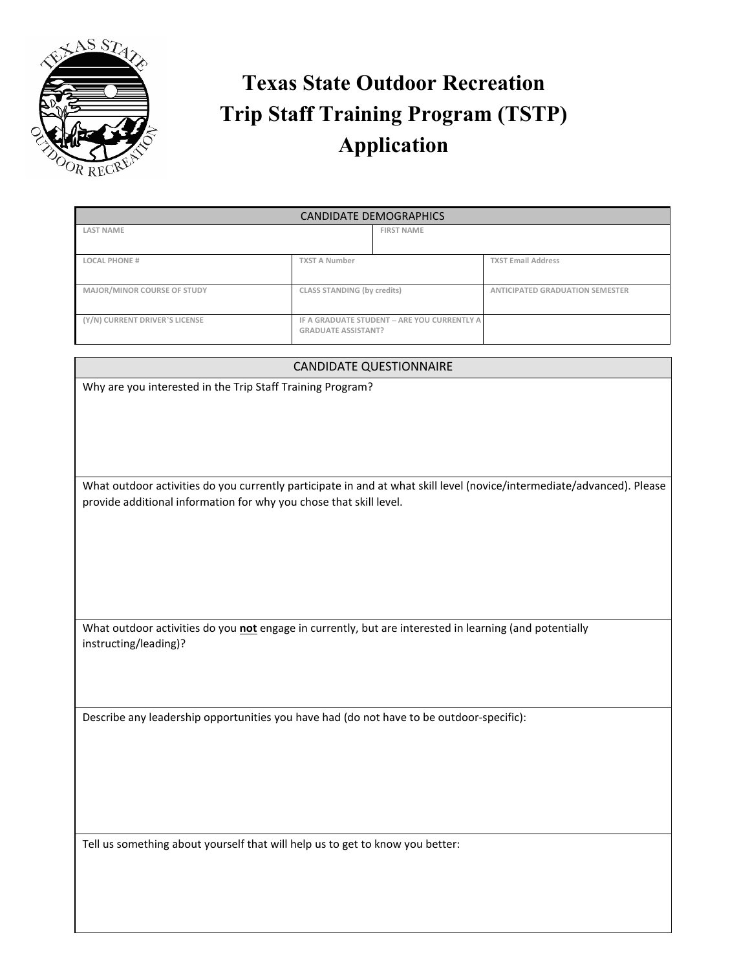

## **Texas State Outdoor Recreation Trip Staff Training Program (TSTP) Application**

| CANDIDATE DEMOGRAPHICS         |                                                                           |                   |                                 |
|--------------------------------|---------------------------------------------------------------------------|-------------------|---------------------------------|
| <b>LAST NAME</b>               |                                                                           | <b>FIRST NAME</b> |                                 |
| <b>LOCAL PHONE #</b>           | <b>TXST A Number</b>                                                      |                   | <b>TXST Email Address</b>       |
| MAJOR/MINOR COURSE OF STUDY    | CLASS STANDING (by credits)                                               |                   | ANTICIPATED GRADUATION SEMESTER |
| (Y/N) CURRENT DRIVER'S LICENSE | IF A GRADUATE STUDENT - ARE YOU CURRENTLY A<br><b>GRADUATE ASSISTANT?</b> |                   |                                 |

## CANDIDATE QUESTIONNAIRE

Why are you interested in the Trip Staff Training Program?

What outdoor activities do you currently participate in and at what skill level (novice/intermediate/advanced). Please provide additional information for why you chose that skill level.

What outdoor activities do you **not** engage in currently, but are interested in learning (and potentially instructing/leading)?

Describe any leadership opportunities you have had (do not have to be outdoor-specific):

Tell us something about yourself that will help us to get to know you better: